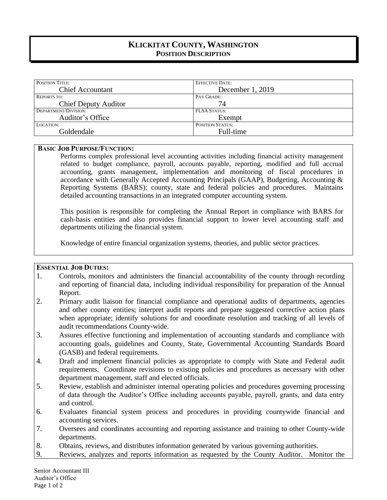# **KLICKITAT COUNTY, WASHINGTON POSITION DESCRIPTION**

| <b>POSITION TITLE:</b>      | <b>EFFECTIVE DATE:</b>  |
|-----------------------------|-------------------------|
| <b>Chief Accountant</b>     | December 1, 2019        |
| <b>REPORTS TO:</b>          | PAY GRADE:              |
| <b>Chief Deputy Auditor</b> | 74                      |
| DEPARTMENT/DIVISION:        | <b>FLSA STATUS:</b>     |
| Auditor's Office            | Exempt                  |
| LOCATION:                   | <b>POSITION STATUS:</b> |
| Goldendale                  | Full-time               |

#### **BASIC JOB PURPOSE/FUNCTION:**

Performs complex professional level accounting activities including financial activity management related to budget compliance, payroll, accounts payable, reporting, modified and full accrual accounting, grants management, implementation and monitoring of fiscal procedures in accordance with Generally Accepted Accounting Principals (GAAP), Budgeting, Accounting & Reporting Systems (BARS); county, state and federal policies and procedures. Maintains detailed accounting transactions in an integrated computer accounting system.

This position is responsible for completing the Annual Report in compliance with BARS for cash-basis entities and also provides financial support to lower level accounting staff and departments utilizing the financial system.

Knowledge of entire financial organization systems, theories, and public sector practices.

### **ESSENTIAL JOB DUTIES:**

- 1. Controls, monitors and administers the financial accountability of the county through recording and reporting of financial data, including individual responsibility for preparation of the Annual Report.
- 2. Primary audit liaison for financial compliance and operational audits of departments, agencies and other county entities; interpret audit reports and prepare suggested corrective action plans when appropriate; identify solutions for and coordinate resolution and tracking of all levels of audit recommendations County-wide.
- 3. Assures effective functioning and implementation of accounting standards and compliance with accounting goals, guidelines and County, State, Governmental Accounting Standards Board (GASB) and federal requirements.
- 4. Draft and implement financial policies as appropriate to comply with State and Federal audit requirements. Coordinate revisions to existing policies and procedures as necessary with other department management, staff and elected officials.
- 5. Review, establish and administer internal operating policies and procedures governing processing of data through the Auditor's Office including accounts payable, payroll, grants, and data entry and control.
- 6. Evaluates financial system process and procedures in providing countywide financial and accounting services.
- 7. Oversees and coordinates accounting and reporting assistance and training to other County-wide departments.
- 8. Obtains, reviews, and distributes information generated by various governing authorities.
- 9. Reviews, analyzes and reports information as requested by the County Auditor. Monitor the

Senior Accountant III Auditor's Office Page 1 of 2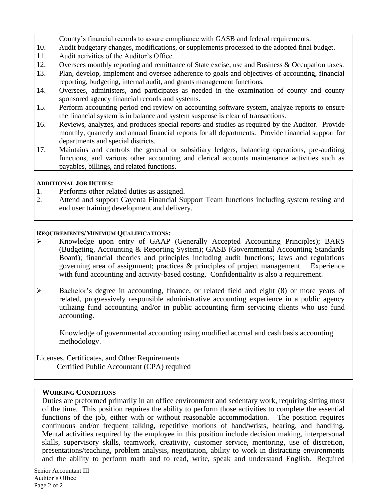County's financial records to assure compliance with GASB and federal requirements.

- 10. Audit budgetary changes, modifications, or supplements processed to the adopted final budget.
- 11. Audit activities of the Auditor's Office.
- 12. Oversees monthly reporting and remittance of State excise, use and Business & Occupation taxes.
- 13. Plan, develop, implement and oversee adherence to goals and objectives of accounting, financial reporting, budgeting, internal audit, and grants management functions.
- 14. Oversees, administers, and participates as needed in the examination of county and county sponsored agency financial records and systems.
- 15. Perform accounting period end review on accounting software system, analyze reports to ensure the financial system is in balance and system suspense is clear of transactions.
- 16. Reviews, analyzes, and produces special reports and studies as required by the Auditor. Provide monthly, quarterly and annual financial reports for all departments. Provide financial support for departments and special districts.
- 17. Maintains and controls the general or subsidiary ledgers, balancing operations, pre-auditing functions, and various other accounting and clerical accounts maintenance activities such as payables, billings, and related functions.

### **ADDITIONAL JOB DUTIES:**

- 1. Performs other related duties as assigned.
- 2. Attend and support Cayenta Financial Support Team functions including system testing and end user training development and delivery.

# **REQUIREMENTS/MINIMUM QUALIFICATIONS:**

- ➢ Knowledge upon entry of GAAP (Generally Accepted Accounting Principles); BARS (Budgeting, Accounting & Reporting System); GASB (Governmental Accounting Standards Board); financial theories and principles including audit functions; laws and regulations governing area of assignment; practices & principles of project management. Experience with fund accounting and activity-based costing. Confidentiality is also a requirement.
- ➢ Bachelor's degree in accounting, finance, or related field and eight (8) or more years of related, progressively responsible administrative accounting experience in a public agency utilizing fund accounting and/or in public accounting firm servicing clients who use fund accounting.

Knowledge of governmental accounting using modified accrual and cash basis accounting methodology.

Licenses, Certificates, and Other Requirements Certified Public Accountant (CPA) required

# **WORKING CONDITIONS**

Duties are preformed primarily in an office environment and sedentary work, requiring sitting most of the time. This position requires the ability to perform those activities to complete the essential functions of the job, either with or without reasonable accommodation. The position requires continuous and/or frequent talking, repetitive motions of hand/wrists, hearing, and handling. Mental activities required by the employee in this position include decision making, interpersonal skills, supervisory skills, teamwork, creativity, customer service, mentoring, use of discretion, presentations/teaching, problem analysis, negotiation, ability to work in distracting environments and the ability to perform math and to read, write, speak and understand English. Required